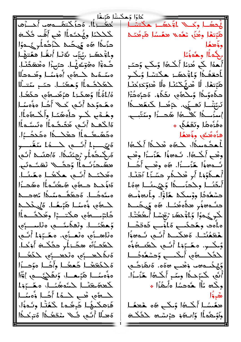كْلُوا وَحِكْسْا هَزَخْلُ كَعَفَ ذَلَّا. ةَجِدَّكْتَهُــوهِ أَحْدَثَهَا بُعِثُما وَحَمَلاً لَوَّحِقَٰ: هَكْتِسْهَا كْلاحْمَا وهُحْشَه أَا شَى أَقَّت شَكْتَه هَّبَتْهَا وِهُنَّى يْعُدِيْ هِجْمِيْنَا هَٰذِهُنَّكَ اَهِصِرُ بِاَٰمِثَ کَمِنْے وَ الْمَنْہَ وؤهما بِكَماُل وِهُدُوْمُل ولمؤْدهَٰــز رُبَّتُ ۖـ شَالَ اُنهُٰـا فَهُتهُــا حُـه;ٛا ه&ۤۊٜۿڸؙٛڶا. حبَّن ا ه هُـففَكُـُـا. أَهْمًا ﴾ هُٰذِمًا أَكْـِهَٰا وُمِكَّــ وُحِمَّـ ومَمْــوَمْدا للسَّرْوَى إِرْوَمْكَ وَهُــوصُلًا أُدمّفُداً وَاؤْدهَٰـ: هكْتسْـا وُحكْـر للْكَلاثُ1أ وُحكْسًا. حسّ مَّتَبَلًا هُبَتِهْا. لًا هُدِيِّكْتُنْـا هلًا هُدوِّتدىُدْـا هُالمُقُلًا وَهِجَدْنِا هِرُهُنِدِهُمِ حَكَمُدًا. حِكْوَوُجُا وُحِكْوُهِ، بِكَكُوْ، وَجَوْوَجُوْا مصَّمَوِّهُمْ أَنَّمِي كَسْلاً أَضًا مَؤْمِنُنَا تَرْبَبْنَا تَصِنِّي. حَزْهُـا كَتْعَمْــدًا استُوسِمًا كَكُسْرَهُا هَجَسَرُا وَمَتَنْبِبٍ. وهُــٰهُــِ كُـــرِ حالُههُمُــا وأَكْــرهُه أَا. هْلِكُعِــدْ أَنُــمْ هَٰخُــْخُــواْلْ هِ نُسْئَــواْلْ إهفُذُهِمَا وِنَقْعُكُمْ \* وَحَعَّمِعْـَـو أَلَا حَغْدَــدًا وَحَدَدُــزًا. ا قزَّەمَّدْ» وۆھما مْ الْمُسْمَى بِهِ الْمُسْمَى بِهِ الْمُتَمَسِّسِ أهدَّه ممارا، له هُنْ هَذْ أَكْتُرُوا وقْبِ أَكْمَا. ئەھۋَا هَنَّسَرًّا وقْب ەْرېڭىشەلْر ، جىنئىدا. ەاھئىـد أىئى ههُمحزُنٌــه أَل وِّحثُـــه نَـهَمْـــه نَــه. ئُے‰ؤا هُنُوٰاً. ۞ه وڤب أُحُصا ەھَكئىك أَئى مەڭھُىل ەممىئا. أَهِــدَوَّذِا أَبِ شَكَــدُبِ حَسِّـزَا أَحْتَــا. كَاذُكُمْ حَدِيَّةٍ وَمُعْنُدْماً وَهُجَدَّا أَمكَنُــا وِحْدَنُـــدًا وَجَيَــنُــا 1هَءُ ەمئەكىل. ةدەكئىمىئىما ئەدىم حِسْعُوطُ ووْمِمكُمْ هَٰارْٓا. وِلَمُعَوْمَةُ وَ كْتْرَاهْ ، وَوَمِنْكُمْ الْمُؤْمِنُونَ وَهُكُمْ الْمَسْتَدَبّْ حىــُـەھۈُــ ھــاْه ھٰــُـــا. ھُە يَىــضَــــا لْكُبِيُّءوُا وَلَمُؤْحِفَة رْقِسْا أَحْفَظْتْا. حَانةٍ فِي مَكْتَبَرًا ومُحِدَّدِهِ أَا وُهِعَنْــا. وتَعَذَّمْـــمِ وَتَامِـــوَى ەلمەد وھُحكَىب ەُلمۇسى كُەقشىل ەنْلْھَـزُە مْھَـزُە. مَمَّـزِدْ أَئْـم هْقِعُبُنْـا. ەَمكْـــا أَبُـــى ئــەەۋَا للعَّحــزُهُ هكَــزلُرٍ حثَّــُــزه أَذْكــا. وًىكْب، مَمَّعَ ذِمْ أَنُسَى لِكَمُسْتَةُوَّهَ ەلكىلىمىسۇە، ەنىمىسۇە، لىكھُسا لحَثَكَــــوةَ مِ أَمكَــــــــح وَحشَعْتَدَكَــــا هَكَكَعْفَــا حَمْعُــا وأُحُــا وَوَحــزُا وَّلِمُسوره وَهُمِ وَهُوَ وَهُوَ مَعْ وَسَمْعَ أَبُّهِ كُمَءَهِدُا وَمِّجٍ أَكْمَةًا هَزَّمَةًا. دؤْهِ سُمَّا هُبُمصاً. وُبِعَكِيَّ مِ إِرَّْا كَعِبْهُ مِعْنَا لِمَسْمَعُهُمُ الْمُحَمَّدِ وَالْمُسَبَّدِ اوكْه عْلَا هُوْجِسًا وأَبْقُرًا \* كے وہُ مِن سَبِ كَلَّمَا أُحُسًا وَوَمِيْهَا هُم,ؤُا همُسُما أَكْتُرُهُ أُوَكِّبٍ رَهُهِ هُعِمُهِ فَزِهكُنهُا ضَرِشُـٰه الكُمُثَّا وِنُـٰهوُّا. هَ هـاُا ٱنـُـمِ شَــه مْـتَـعُــداُ هُـَـْدِكْداً وَٱوۡعِدۡهَا ۗ ﴾ ﴾ سوِّه: حبْسَسه لحفُكْـ وَ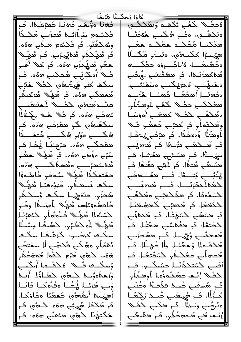كْلُوا وُهِكْتْنَا هَزْتْهَا

ِّدُة<sup>ِ و</sup>َلَّا هَ قُبْضُتَ دُقَةَ لَّا دُهِيَّتَنَكُما. كَج ثَكِسُومِ مَبِٱلۡتَـٰہِ مَٰحِزَىٰبِ مَٰٓكَـٰہِ ا وِشَكْفُلُو. ثُمِ ثَكْسُهِ شُمْلُم مِهَم. كَ هُوَكْكُمْ هُدْيُيَّبٍ. كَمْ هُوُكْ ـَعَـٰٓهُو إِنَّمَـٰهُـٰٓئِـہِ ۞۞ه. كَمْ كَـٰلاً أَقُـٰـہِ ئُــلا أُەتْكَرُبُــ هُـصَكَـــ ‱ه. ضَــ سكُك كُتُبٍ فَيَجْمَعُوهِ لِكَمَّلا هُنْبُ هُعطكُبِ 500. ثُمِ شَهْلاً هُدَىْدَهُر هنُسمفَتهُم لهنُسلاً لمُعنُتمُسِيَ مُهمَّم ههُه. ثَمِ ثَلا هُلا بِكَخُلَمُ مَكْكُمُوهُ لِي مَكْرَضُمِ وَهُوَ. كَمِ ھُكْسے ہوّار ھُكْسے صَّعْسَــداًا مكَحكُب ‰ه. حرْجِئْنَا هُحُـا ضَرِ  $\mathcal{L}$ مُبْ $\mathcal{L}$ و وَوَاَّى  $\mathcal{L}$ ە. كَرِ هُلِّى مَلَّى ئعدمنمعة في مقتد كالمسبح مؤهد حمَّتمكْدًا مْحِيُّى مُحْدِّرٍ خَاهَْدَوْا سكُف وُُمعِيكُنِ. كَتِوُّەھِيْا شَوْيُلا هُدُر. حنَّة في المركبة و محلَّم كَادهَنُه وَمُاهِبٌ هُدْيٌ ﴾ أُهوً حَالًا ۖ وحُــرٍ ۖ لحَمْعُهُ أَلِ هُنَّى لَا حُزُّهِ أُم لَّا حَمْعَهُ مُلْكُمْ وَسَلَّمَ هُدُلا لمُحكُبُر. حَقَمَهُا وِمُمَالًا ملُّے کُتِکُمِر، کُلِمُبِگُلِ مِکْک ىُقْدُلُر ەھُكْب كُلەھْب لُا مىمُتك هَهَ لَاهُم هُبْع لَحْقُوا هُدهَهُكُم ۇمىڭلىك ئىلا. ەَجْھْلە أَيْجْس وْاهِدَاهُ وَسِيلِ حَدِيقَهِ بِمَحْشَاذَا. أَيْ وْسِي هُدِيُّا لِمُحُّا هِفُزُّهِ كُما كَانُا أههّيما أَحفُتهوه صَعفَهُا وصَّافِكا. ثَمِ هُكَكُّلُ هُيمَّىٍ 30% كَمَّى ثَمِ هَكْتَهُمْا لِهُ مِنْهُ مِنْهُمْ مِنْهُ مِنْهُمْ مِنْهُمْ مِنْهُمْ مِنْهُمْ مِنْهُمْ مِنْهُمْ مِنْهِ

هُحشًا لَمُهُم نُلْقِدِهِ وَتَعْلِكُمْ ەئلاھُــە، ەكَــر شكْىـــى ھُةدُنْــا هكتتها مُحْمَده حمَمَده حعُب ههْجا كْكْسْتْهْمْ، وتُسْرُّمْ هَكْسْلَلْ ەكھُىھُــا. 1،25كـــوە ھۇڭـــە هْدْكَهْزُنَّىدًا، ثُم ههَضْتَنَّب رؤْمُثُب ەھَىمْب ، ەَخْرُكْسى ەشقئئىب. ودُونُها أُهدُهُها دُهنُها هُزُمِه هكَللُكب دئَــلا لْمُشَع لْمُوهــتُ;لُمْ. ەھَٰٓدْفُب حْثَــٰه كَعَنْفُب أُەوۡسُـٰا وهَٰلِدُهُ أَرٍ رَبِّ لَحِبَّى خَعفُ شَلا ـأُوهِ: أَا وَّەوَدُهُا. ثُم همَّثْمِ يُ رَّشَا. ضَ هُسَلَـٰعٌـَــ ثَـَــةُ ا ضَـ هُـٰزَه لَيَـــحِ معَیْمةًا. کَم همّشی همّتشا، کَم هنَّىعُبِ هُتِمْا. ثُمِ لُؤْمِ دَهُتِقَا ثُمِ لْجَنَّوْمِــــــــ وْتَـــــــــوْا. كَـــــــر هكْــــــــواكَـبِ ِكَعْمَلُمتَرُنَـــا. كَــــ, هُدهؤَـــــو لِمُمُّقَدًا. ثُم مِكَلِمْهُبِ وَمُلِكَبِ لْمُكَعَمْلُ. ثُم هُدَهُ مِنْ كُلْعَدُهُ عَمْلًا. كَرِ هِمُشْمٍ لِلْمُهُتْلِ كَرِ هُدِهُ بِّ لِكُتِهَا، ثَمِ هَفَلَمْمَبِ هَعَتُنَا، ثَمِ هُمعندُب وُقيْ ا. دُبِ هِهُجزُب مَحْدَّدَاً! وَحَمَّمُـا. ولَّا دُجَـاً!. ضَـ هُدهلُّے دشَکمُر کمُکُتشًا، کُ ٱثَب لمَنتكلُانًا مِنْسَكِسٍ. ضَـَـِ لحدًى الله حسُنُووُه! أُوهةُ!ُ . ضَرِ هُسِقَبٍ شَيْءٌ فَهُضَرًّا وَجُنَّبَ تَحَبُّمُ الْمَسْمَعَ مِنْ مِنْ مِنْ الْمَجْمَعْ ەنُرجَّى وسُتالُّا. ضَر ھڭىم لمشَّلا ∥}نُـم شَـع هُـدةحُـدُب. كُـب هڤىعٌىب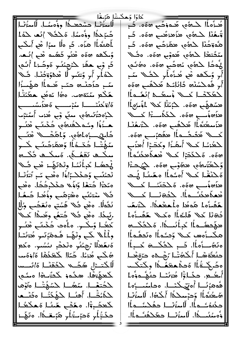كَاوُا وَحكْشًا هَزَنْقًا لَّامِنُوْنَ) حِمْدِهِداً وِوَْهِيمَا. لَّامِيُّزْنَا هُـزُّه أَلا كَــوهُى هَــووَهُــع وهوَه. كُــر حَمَدِهُا وذُهِمُا. هَكْتُمْ إِنُم كَهُلَا وَّمْمَلْكُ لِكُمُوس هَزَهْنُو هَذِهُ مَعْ مَعْهِ مِنْ مَعْ لَمِعْلًا مِنَى. مَ ولًا مِبْا هُو أَمْكُم هُوَدُمْا لِهُمْ هِهَٰزِهُمْ هِوَهِ. كَمِ وَّمَكْهُمْ «ەَهْ هُنُو كُلُّهُمْ هُمْ إِنُـْتْ. مَكْتَعْلَمْ لَهُ مَنْ مَوْمٍ مَوْهِ. وَشَلا كُمْ وْبِي هَقَا ۖ كَنْرْجِئْتُو هُوصَّآا أَنَّف رَصَّاهُ .٥٥٥ مِنْ مِنْ مِنْهُكُمْ لِمَعْهِمْ ِكْمُلُرِ *أَرِ وَّتنُ*رِ لَا مُكْوَّوْتُصْلُ شَكَّا أَبِر وُمَكُّهُمْ شُي هُـزُه أَبِر لَكْتُلا مَمْعِ مَنْدِ جَزْجَلْتُ جَنْدٍ هُجْدَأًا هَهُجَدًّا أَبِ قُمكْسُلُه قَالَكُمْ هَٰكَفَبٍ 200 هَكُم مَمَّةهم. وهُ تَوهُع هَكَنْتُه لِحُكَكَثَمِ الْحَسِيلَ وُسِعَمِ الْمُسَمِلُ ەُاۋْدُلُنْــــا مُبْسى ەْھەَسْىــــ همّههٌم «هُه. حَبْنُتْ كَلا لمُؤْمِرُها لِمُ وَمُوَالِّكُمْ وَمِنْ الْمُسَامِعِينَ مَنْ الْمُسَبَّدِينَ الْمُسَبَّدِينَ هلاًهوَّسب هؤه. للكُمُسَةُ كَسَلا هـزُوُّا وشَمحْفُلِهُ) كُمْتَبِ هْنُــو هزَّمهُنُه أَا هُكِفَبٍ 30%، كَتَمِعْنَا حَامِيّ وَاهُم. وَاهَمْ مِنْ هُنَّ كَــــلا هُشَمتُـــه أَا هفَعَبْـــــ 50%. لمعُنْ المُلا أَحَدُ الْمُحَمَّا وَكُدْبًا أُهْنَى مَّهُتْـا حُدّـەُلُّا وَهمَّرْحُتّـ كُـــر مىڭىك ئقفىگى. ةمىڭىك ئىگىچ هؤه. هَكْخَةِ كَكَلا هُعِكُمْهِكُسُولُ لْمَعمُا كَبِلُنُا وِنَمْنَهُـ: شَـى شَــٰلا وَحْظَتُمِيهُ مِنْهُوْبِ 500. كَيْحَشَّا تَحِبُثَبٍ وَحِكْكُمُ}وُّا وقْبٍ مُنْ ٱتَدُّلْنَا هَكْنُقْطِ كَحِلاً أُهْشُهِ أَلْهِ هَمْسُلٍ لَهُدت مَكْثَا حُتفَا وَاؤُلا حَكْدَحُكُا. وَهُبِ هَلَاهُ وَمَـبٍ هَهُه. هُكْتَنَسُّـا كَــــلا ثُلا مْنْتُنَّع هِمْبْهُــع وذُهُــا شُـعُـا هَقَبْوهُ هَوهُل وأُحجْمِدُل حَيْيِمَب نُثَهرُا. وهُي ثَلا فَسُبّ ونُقصُب وبُلِّ دُقالا كَلا فَلِعْلًا مَكلا هَفْبَوْهِ! رْبُمْدًا. هڤع ثَلا ضَنعُ وهُمْدًا حُمَلا هِمُحِهَْــهِ أَل كَبِ أُنُـــدًا. ۚ هَـحْثَكْـــمِ كَعُمَا وُمكْسٍ. ماأَهِتْ شُكْمَنَى هُنُسٍ هكْسزُهها كْتْلا وُصْتُمْلًا وتُعفَّمْلًا وِٱلۡلَّا لَکَےٖ وِنۡهُـٰٓۃٖ هُـٰہِقَہُٖنَـٰہِ ہُٰۃِنُنَّـٰا ەئۇسىزەلما. ئىب بىشكىز ئىب ەُنغَجْلَا رُجِئْتُو وَنُحَجْ بِتُسُبٍ. وَكُع حنُعْتَه هُــا أَحْدُهُ تُــا رُجْـــاه حَرَّة هُــا رَهُ كُبِي هُدِمًا. كَمَا الْكَعْدُهُا هَاوَهُ مِن وَحَرِجْتُهُ أَلَّا وَحَدْهِ هِمْهُكُما وِكْتِكْب لَّالِكْتَــْمَلِ هُحَـــــلا كَكَفْـَــل هَ/تُــــب أَمعُـــم. حكَــارْٓا هُـٰبَتَــَا حتَجَــوزُه ا كُعِنْ تِمْ. مِحْدَو كُضَرْهُ مِمْدِ لحَدُّثُمُّــا. مَعْهُـــا لِكَنْدُتُنَّــا وَأَوْهَ هُومرُنَّا أُوتِيْكُنَّا. وحامِّيَّةُ ا لحكَمْتْــا. أَهنُــا لحكُمْكْنُــا وكَنْــم رَهُ حِكْثُما أَنْ وَحَرْمِيكِمَا أَيْكِرْهَا. لِلْمِعْرَّبُولِ كَعدَّجةٌا. ممَّثَبٍ هَيسًا مَعكَمًا دحُبُهُ يَـــم أَل أَلْمِيُّرْبِ لِمُدَّكِّـــم أَل وْهِمُنُكُما. لَّامِيُّرْكَ دَهَكَفُتُواْ. حكَّتُۂلُرٖ هُجَنَّتُۂلُرٖ هُبُعفاًا. هنگِــٰۃ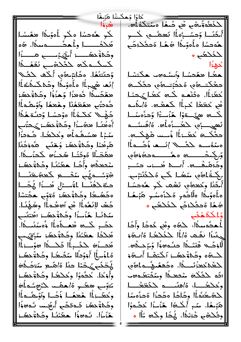كَاوُا وَحكْسْا هَزَىغْا هُمرؤُل لْحُرِ حَدَدَسُا مِحْرِ لِمُوَجَدًا مِحَسَسًا هَكُدُ ا وِلْمِدُ مِمْلًا. 6ه وكَمْقُدْهُــــــز أُملِّكَ مُــــــزُا كْسِكُــەڭ بىلىشقى ئقۇــە وُحنَّتنُهُا. وحُانةٍ نَوْهُ أَيْدُ لَدْنَا لَا إِنَّمَا هَيْ أَا دَأْدَوُماْ وَخَمْكُمْشَدَّا همّكُسمًا هُوهدُا وُحدُوُّا وكَلاوُّحِقَٰ: دُّەدْتُب ھمُقمُعْدُا وهْعِمُا وَآوُحدُّداُ كَهْكْ كَكْتُوْلًا ووْحِسُا وْحِشْةِهْدًا أُه هُنُا هرهً ــزُا وحَكْوْ حمَّــز حَـحَبَّب مَمْبْهَا هِمُمْعَدُواْهِ وِكْحَمْحًا. حُـودُا هُرِهُمُا وِحُلْقُدِهُ; وُحَمَّى هُوَدُمُا ههَٰتَــلًا هُوكْتُــل هُـدـزُ، كَلْحَزُـــدًا. مْدهدْ۞ وأُكُل هفَنُنُا وكَلاَةُدهَــــز ەۋئىمەئى مەئىسى كىدەمقىتىل حدٌككُسًا امْتَنْدِرْ. هُـــزُا هُكُــا ەكھُىعُا وكَلاَةْحقَا ەُقۇب ھكُتسْا كُنْفُ لِإِنْعُدَاْلِ ثَبِي أَ3ْهَدُدَاْلِ وِهُوَّنَـٰا. مَكْلًا هَٰٓ;ُٮـ;ُّا وكُكْۊٛٓجعَهُــ; افْتتَب حكَم كْدە قْعَصْلُولُا وْوْمُنُسْلَال هَٰٓدُهُا حِعۡدُمُا وِحَٰدُوۡٓدِهَٰۥ مَٰٓرٖٛٓقَ ۡصِحِ هُدِيرُوهُ حَكَيْرِيًّا كَحَيْدًا وَوَجِيرَاْ! هَٰاؤُمِهَۢۤا أَوْوُدُلا مَّدَّمَعُـا وِكَلاَۊُكفَت ضَحْبَ حَمْدَا صَدَّاهُ اسْتَرِدَ حِنْصَدُ وأوحُل حُدَّوُا وحُكْمًا وكُلاَوُحْمَدَ تَبْوُّب ھكَبِ هُاهڤَـد كَبْرْهِشُهَاهُ وحُعَكَ ذِلًا هُعِمُهَا ذُكُّهَ وَأَوْجَعُهِ أَل وكَمْوَّدْهُمْ; كُدْتُبُ أَرِبَّــْتَ شُدْهَوْا هَٰٓ;ُمَۢ;ا. شُەھۈُا ھَكَّىُنُا وِكُلاۋْحْقَمَ:

كَثُفَةُ مَنْ مِنْ صَمُّا مِمَّتَكُمُّأَنِّهِ. أَمَثَنُــا وَحَمَّـــرُه أَا نُـْهِـمُّــــهِ لَـُــــــر ـعُدْمَمَا مِأْدَوُنِكَا 1هُـمَا 1هُـدَكَـٰدِكَــحَــ المنكفكون حْمِدُ ا حعكا محكمسًا وأسسُّده حكَّتها حفَكْتــەُٯ ەُھكَئٖتــەُٯ حثَكــە لُحَكِّزِلْمَا. وَكَنْصُمْ لَكُلُّ كَحَكْلِ كَلِّحْمَا لَ هْمِ كَعْتَهْا كُمِلًا كُمْعْدُهِ. هَامِمُتْ كَـــره هيْـــةوْا هُنُوـــرّْا وَحِزُّه مُـــــا نَهِي وَي حَيْ أَو أَنْ وَأَنْ مَنْ وَ حثَكُ فَ كُمَّــزِلًا وُّــب هُمِكْــ 3. ومَمْوَّبِ لِكَسِيرٍ الْمَسْمَدِ ذُكَّبِ وَلَمْ ا وحَاهَّمُهْـــــــــه. أُنــــــــــــــه حَــــــــمِ بِكَتْفَاهُو، مَفْهَا كُبِ هَكْنَتْبَبٍ. أَمَّنُا وكمحدةُ منهُم كُر هُوصُما ەلمُەرَّىمَّا ەلَّاھُەر ەَىدەُمىر ھەمھا هُمُّا هُحثُّلاتُم لِنُلْعُبِ \* وَالْحَذْهُنَّبِ أهدُّه مماُل: لِهِ وَهُم يُدْهَلُ وأَجُلُ مِنْسَاهَ لِمُكْكُمُ الْمَاهَ صَفْ الْمَنْرِ لَّاوْحُـــلا فْتَـْــدًا حَــُّـهِ وَوُّا وَجَهْــدَّةِ. لمسؤه وحُلاَةُ حِفَّ زَكْتِهْا أُسِيَّةٍ لِحَقْمَكَعِنُرِيَّسِـداً. وَحَعِقَبِهِـتَّـواهُو ائه للثَّلُث مْعصلُا ومُكْتَعَكُّوه وكُلْحُدُ لِ هَاهِنُمِ لَلْكُفَّعْتِ لِ لِحَمَّمِعُنَّهُ أَلَّا وَحَاجُلَ وَحَجَزًا وَحِزُّومُمَا |هَبُعْلَ. مَنْجِ أَكْتَرُهُ| هَنُوْجُ| حُدُّدوُ| وثَكْشَى شَتْئُمُلْ. هُجُا وِكْتُ عُلًا \*